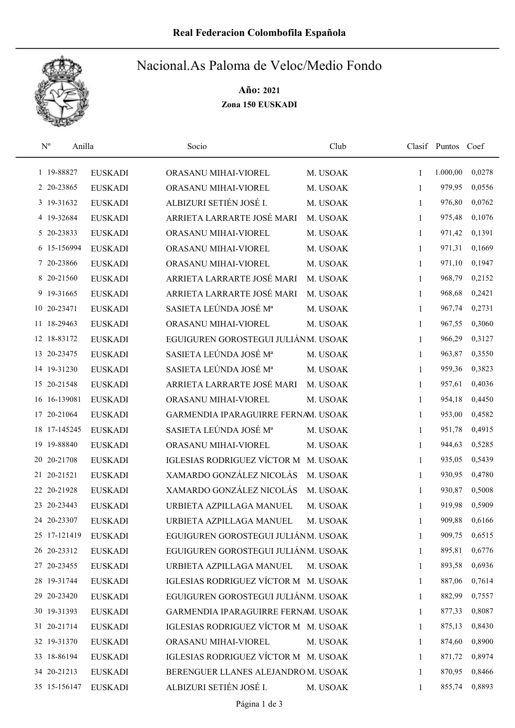

## Nacional.As Paloma de Veloc/Medio Fondo

Año: 2021 Zona 150 EUSKADI

| $\rm N^o$<br>Anilla |                | Socio                                | Club     |              | Clasif Puntos Coef |        |
|---------------------|----------------|--------------------------------------|----------|--------------|--------------------|--------|
| 1 19-88827          | <b>EUSKADI</b> | ORASANU MIHAI-VIOREL                 | M. USOAK | $\mathbf{1}$ | 1.000,00           | 0,0278 |
| 2 20-23865          | <b>EUSKADI</b> | ORASANU MIHAI-VIOREL                 | M. USOAK | 1            | 979,95             | 0,0556 |
| 3 19-31632          | <b>EUSKADI</b> | ALBIZURI SETIÉN JOSÉ I.              | M. USOAK | $\mathbf{1}$ | 976,80             | 0,0762 |
| 4 19-32684          | <b>EUSKADI</b> | ARRIETA LARRARTE JOSÉ MARI           | M. USOAK | 1            | 975,48             | 0,1076 |
| 5 20-23833          | <b>EUSKADI</b> | ORASANU MIHAI-VIOREL                 | M. USOAK | $\mathbf{1}$ | 971,42             | 0,1391 |
| 6 15-156994         | <b>EUSKADI</b> | ORASANU MIHAI-VIOREL                 | M. USOAK | $\mathbf{1}$ | 971,31             | 0,1669 |
| 7 20-23866          | <b>EUSKADI</b> | ORASANU MIHAI-VIOREL                 | M. USOAK | $\mathbf{1}$ | 971,10             | 0,1947 |
| 8 20-21560          | <b>EUSKADI</b> | ARRIETA LARRARTE JOSÉ MARI           | M. USOAK | 1            | 968,79             | 0,2152 |
| 9 19-31665          | <b>EUSKADI</b> | ARRIETA LARRARTE JOSÉ MARI           | M. USOAK | $\mathbf{1}$ | 968,68             | 0,2421 |
| 10 20-23471         | <b>EUSKADI</b> | SASIETA LEÚNDA JOSÉ Mª               | M. USOAK | 1            | 967,74             | 0,2731 |
| 11 18-29463         | <b>EUSKADI</b> | ORASANU MIHAI-VIOREL                 | M. USOAK | 1            | 967,55             | 0,3060 |
| 12 18-83172         | <b>EUSKADI</b> | EGUIGUREN GOROSTEGUI JULIÁNM. USOAK  |          | 1            | 966,29             | 0,3127 |
| 13 20-23475         | <b>EUSKADI</b> | SASIETA LEÚNDA JOSÉ Mª               | M. USOAK | 1            | 963,87             | 0,3550 |
| 14 19-31230         | <b>EUSKADI</b> | SASIETA LEÚNDA JOSÉ Mª               | M. USOAK | 1            | 959,36             | 0,3823 |
| 15 20-21548         | <b>EUSKADI</b> | ARRIETA LARRARTE JOSÉ MARI           | M. USOAK | 1            | 957,61             | 0,4036 |
| 16 16-139081        | <b>EUSKADI</b> | ORASANU MIHAI-VIOREL                 | M. USOAK | 1            | 954,18             | 0,4450 |
| 17 20-21064         | <b>EUSKADI</b> | GARMENDIA IPARAGUIRRE FERNAM. USOAK  |          | $\mathbf{1}$ | 953,00             | 0,4582 |
| 18 17-145245        | <b>EUSKADI</b> | SASIETA LEÚNDA JOSÉ Mª               | M. USOAK | 1            | 951,78             | 0,4915 |
| 19 19-88840         | <b>EUSKADI</b> | ORASANU MIHAI-VIOREL                 | M. USOAK | $\mathbf{1}$ | 944,63             | 0,5285 |
| 20 20 - 21708       | <b>EUSKADI</b> | IGLESIAS RODRIGUEZ VÍCTOR M          | M. USOAK | $\mathbf{1}$ | 935,05             | 0,5439 |
| 21 20-21521         | <b>EUSKADI</b> | XAMARDO GONZÁLEZ NICOLÁS             | M. USOAK | $\mathbf{1}$ | 930,95             | 0,4780 |
| 22 20-21928         | <b>EUSKADI</b> | XAMARDO GONZÁLEZ NICOLÁS             | M. USOAK | 1            | 930,87             | 0,5008 |
| 23 20-23443         | <b>EUSKADI</b> | URBIETA AZPILLAGA MANUEL             | M. USOAK | 1            | 919,98             | 0,5909 |
| 24 20-23307         | <b>EUSKADI</b> | URBIETA AZPILLAGA MANUEL             | M. USOAK | 1            | 909,88             | 0,6166 |
| 25 17-121419        | <b>EUSKADI</b> | EGUIGUREN GOROSTEGUI JULIÁNM. USOAK  |          | 1            | 909,75             | 0,6515 |
| 26 20-23312         | <b>EUSKADI</b> | EGUIGUREN GOROSTEGUI JULIÁNM. USOAK  |          | 1            | 895,81             | 0,6776 |
| 27 20-23455         | <b>EUSKADI</b> | URBIETA AZPILLAGA MANUEL             | M. USOAK | 1            | 893,58             | 0,6936 |
| 28 19-31744         | <b>EUSKADI</b> | IGLESIAS RODRIGUEZ VÍCTOR M M. USOAK |          | $\mathbf{1}$ | 887,06             | 0,7614 |
| 29 20-23420         | <b>EUSKADI</b> | EGUIGUREN GOROSTEGUI JULIÁNM. USOAK  |          | 1            | 882,99             | 0,7557 |
| 30 19-31393         | <b>EUSKADI</b> | GARMENDIA IPARAGUIRRE FERNAM. USOAK  |          | 1            | 877,33             | 0,8087 |
| 31 20-21714         | <b>EUSKADI</b> | IGLESIAS RODRIGUEZ VÍCTOR M M. USOAK |          | $\mathbf{1}$ | 875,13             | 0,8430 |
| 32 19-31370         | <b>EUSKADI</b> | ORASANU MIHAI-VIOREL                 | M. USOAK | $\mathbf{1}$ | 874,60             | 0,8900 |
| 33 18-86194         | <b>EUSKADI</b> | IGLESIAS RODRIGUEZ VÍCTOR M M. USOAK |          | $\mathbf{1}$ | 871,72             | 0,8974 |
| 34 20-21213         | <b>EUSKADI</b> | BERENGUER LLANES ALEJANDROM. USOAK   |          | 1            | 870,95             | 0,8466 |
| 35 15-156147        | <b>EUSKADI</b> | ALBIZURI SETIÉN JOSÉ I.              | M. USOAK | $\mathbf{1}$ | 855,74             | 0,8893 |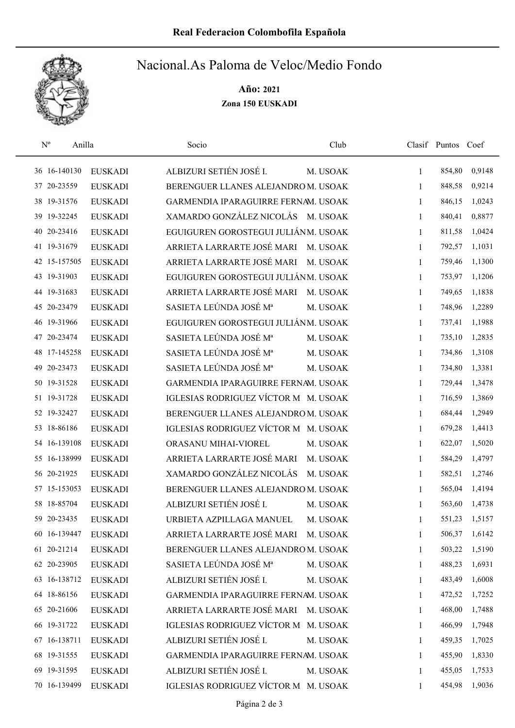

## Nacional.As Paloma de Veloc/Medio Fondo

Año: 2021 Zona 150 EUSKADI

| $\mathbf{N}^{\text{o}}$<br>Anilla |                | Socio                                | Club     |              | Clasif Puntos Coef |        |
|-----------------------------------|----------------|--------------------------------------|----------|--------------|--------------------|--------|
| 36 16-140130                      | <b>EUSKADI</b> | ALBIZURI SETIÉN JOSÉ I.              | M. USOAK | $\mathbf{1}$ | 854,80             | 0,9148 |
| 37 20-23559                       | <b>EUSKADI</b> | BERENGUER LLANES ALEJANDROM. USOAK   |          | $\mathbf{1}$ | 848,58             | 0,9214 |
| 38 19-31576                       | <b>EUSKADI</b> | GARMENDIA IPARAGUIRRE FERNAM. USOAK  |          | 1            | 846,15             | 1,0243 |
| 39 19-32245                       | <b>EUSKADI</b> | XAMARDO GONZÁLEZ NICOLÁS M. USOAK    |          | $\mathbf{1}$ | 840,41             | 0,8877 |
| 20-23416<br>40                    | <b>EUSKADI</b> | EGUIGUREN GOROSTEGUI JULIÁNM. USOAK  |          | 1            | 811,58             | 1,0424 |
| 41 19-31679                       | <b>EUSKADI</b> | ARRIETA LARRARTE JOSÉ MARI           | M. USOAK | $\mathbf{1}$ | 792,57             | 1,1031 |
| 42 15-157505                      | <b>EUSKADI</b> | ARRIETA LARRARTE JOSÉ MARI           | M. USOAK | 1            | 759,46             | 1,1300 |
| 43 19-31903                       | <b>EUSKADI</b> | EGUIGUREN GOROSTEGUI JULIÁNM. USOAK  |          | 1            | 753,97             | 1,1206 |
| 44 19-31683                       | <b>EUSKADI</b> | ARRIETA LARRARTE JOSÉ MARI           | M. USOAK | 1            | 749,65             | 1,1838 |
| 45 20-23479                       | <b>EUSKADI</b> | SASIETA LEÚNDA JOSÉ Mª               | M. USOAK | 1            | 748,96             | 1,2289 |
| 46 19-31966                       | <b>EUSKADI</b> | EGUIGUREN GOROSTEGUI JULIÁNM. USOAK  |          | 1            | 737,41             | 1,1988 |
| 20-23474<br>47                    | <b>EUSKADI</b> | SASIETA LEÚNDA JOSÉ Mª               | M. USOAK | 1            | 735,10             | 1,2835 |
| 48 17-145258                      | <b>EUSKADI</b> | SASIETA LEÚNDA JOSÉ Mª               | M. USOAK | 1            | 734,86             | 1,3108 |
| 20-23473<br>49                    | <b>EUSKADI</b> | SASIETA LEÚNDA JOSÉ Mª               | M. USOAK | 1            | 734,80             | 1,3381 |
| 50 19-31528                       | <b>EUSKADI</b> | GARMENDIA IPARAGUIRRE FERNAM. USOAK  |          | 1            | 729,44             | 1,3478 |
| 51 19-31728                       | <b>EUSKADI</b> | IGLESIAS RODRIGUEZ VÍCTOR M M. USOAK |          | 1            | 716,59             | 1,3869 |
| 52 19-32427                       | <b>EUSKADI</b> | BERENGUER LLANES ALEJANDROM. USOAK   |          | $\mathbf{1}$ | 684,44             | 1,2949 |
| 53 18-86186                       | <b>EUSKADI</b> | IGLESIAS RODRIGUEZ VÍCTOR M M. USOAK |          | 1            | 679,28             | 1,4413 |
| 54 16-139108                      | <b>EUSKADI</b> | ORASANU MIHAI-VIOREL                 | M. USOAK | 1            | 622,07             | 1,5020 |
| 55 16-138999                      | <b>EUSKADI</b> | ARRIETA LARRARTE JOSÉ MARI           | M. USOAK | 1            | 584,29             | 1,4797 |
| 56 20-21925                       | <b>EUSKADI</b> | XAMARDO GONZÁLEZ NICOLÁS             | M. USOAK | $\mathbf{1}$ | 582,51             | 1,2746 |
| 57 15-153053                      | <b>EUSKADI</b> | BERENGUER LLANES ALEJANDROM. USOAK   |          | 1            | 565,04             | 1,4194 |
| 58 18-85704                       | <b>EUSKADI</b> | ALBIZURI SETIÉN JOSÉ I.              | M. USOAK | 1            | 563,60             | 1,4738 |
| 59 20-23435                       | <b>EUSKADI</b> | URBIETA AZPILLAGA MANUEL             | M. USOAK | 1            | 551,23             | 1,5157 |
| 60 16-139447                      | <b>EUSKADI</b> | ARRIETA LARRARTE JOSÉ MARI M. USOAK  |          | $\mathbf{1}$ | 506,37             | 1,6142 |
| 61 20-21214                       | <b>EUSKADI</b> | BERENGUER LLANES ALEJANDROM. USOAK   |          | 1            | 503,22             | 1,5190 |
| 62 20-23905                       | <b>EUSKADI</b> | SASIETA LEÚNDA JOSÉ Mª               | M. USOAK | 1            | 488,23             | 1,6931 |
| 63 16-138712                      | <b>EUSKADI</b> | ALBIZURI SETIÉN JOSÉ I.              | M. USOAK | 1            | 483,49             | 1,6008 |
| 64 18-86156                       | <b>EUSKADI</b> | GARMENDIA IPARAGUIRRE FERNAM. USOAK  |          | 1            | 472,52             | 1,7252 |
| 65 20-21606                       | <b>EUSKADI</b> | ARRIETA LARRARTE JOSÉ MARI M. USOAK  |          | 1            | 468,00             | 1,7488 |
| 66 19-31722                       | <b>EUSKADI</b> | IGLESIAS RODRIGUEZ VÍCTOR M M. USOAK |          | 1            | 466,99             | 1,7948 |
| 67 16-138711                      | <b>EUSKADI</b> | ALBIZURI SETIÉN JOSÉ I.              | M. USOAK | 1            | 459,35             | 1,7025 |
| 68 19-31555                       | <b>EUSKADI</b> | GARMENDIA IPARAGUIRRE FERNAM. USOAK  |          | 1            | 455,90             | 1,8330 |
| 69 19-31595                       | <b>EUSKADI</b> | ALBIZURI SETIÉN JOSÉ I.              | M. USOAK | $\mathbf{1}$ | 455,05             | 1,7533 |
| 70 16-139499                      | <b>EUSKADI</b> | IGLESIAS RODRIGUEZ VÍCTOR M M. USOAK |          | $\mathbf{1}$ | 454,98             | 1,9036 |